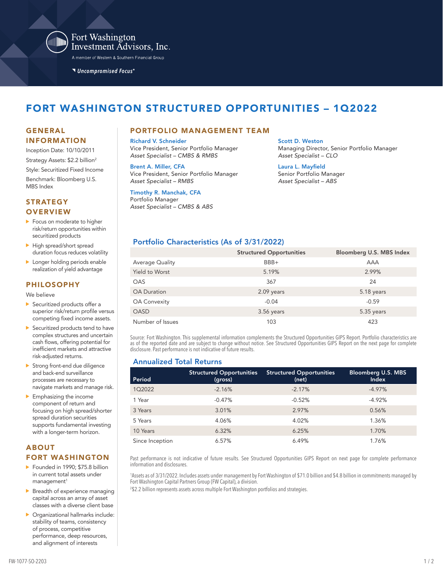

Fort Washington Investment Advisors, Inc.

A member of Western & Southern Financial Group

Uncompromised Focus®

# FORT WASHINGTON STRUCTURED OPPORTUNITIES – 1Q2022

# INFORMATION

- Inception Date: 10/10/2011
- Strategy Assets: \$2.2 billion<sup>2</sup>
- Style: Securitized Fixed Income Benchmark: Bloomberg U.S.

MBS Index

# **STRATEGY OVERVIEW**

- Focus on moderate to higher risk/return opportunities within securitized products
- High spread/short spread duration focus reduces volatility
- **Longer holding periods enable** realization of yield advantage

#### PHILOSOPHY

We believe

- ▶ Securitized products offer a superior risk/return profile versus competing fixed income assets.
- $\blacktriangleright$  Securitized products tend to have complex structures and uncertain cash flows, offering potential for inefficient markets and attractive risk-adjusted returns.
- Strong front-end due diligence and back-end surveillance processes are necessary to navigate markets and manage risk.
- **Emphasizing the income** component of return and focusing on high spread/shorter spread duration securities supports fundamental investing with a longer-term horizon.

# ABOUT FORT WASHINGTON

Founded in 1990; \$75.8 billion in current total assets under management<sup>1</sup>

 $\blacktriangleright$  Breadth of experience managing capital across an array of asset classes with a diverse client base

Organizational hallmarks include: stability of teams, consistency of process, competitive performance, deep resources, and alignment of interests

# GENERAL PORTFOLIO MANAGEMENT TEAM

Richard V. Schneider Vice President, Senior Portfolio Manager *Asset Specialist – CMBS & RMBS*

Brent A. Miller, CFA Vice President, Senior Portfolio Manager *Asset Specialist – RMBS*

Timothy R. Manchak, CFA Portfolio Manager *Asset Specialist – CMBS & ABS*

#### Scott D. Weston Managing Director, Senior Portfolio Manager *Asset Specialist – CLO*

Laura L. Mayfield Senior Portfolio Manager *Asset Specialist – ABS*

# Portfolio Characteristics (As of 3/31/2022)

|                        | <b>Structured Opportunities</b> | Bloomberg U.S. MBS Index |
|------------------------|---------------------------------|--------------------------|
| <b>Average Quality</b> | BBB+                            | AAA                      |
| Yield to Worst         | 5.19%                           | 2.99%                    |
| <b>OAS</b>             | 367                             | 24                       |
| <b>OA Duration</b>     | 2.09 years                      | 5.18 years               |
| <b>OA Convexity</b>    | $-0.04$                         | $-0.59$                  |
| <b>OASD</b>            | $3.56$ years                    | 5.35 years               |
| Number of Issues       | 103                             | 423                      |

Source: Fort Washington. This supplemental information complements the Structured Opportunities GIPS Report. Portfolio characteristics are as of the reported date and are subject to change without notice. See Structured Opportunities GIPS Report on the next page for complete disclosure. Past performance is not indicative of future results.

### Annualized Total Returns

| Period          | <b>Structured Opportunities</b><br>(gross) | <b>Structured Opportunities</b><br>(net) | <b>Bloomberg U.S. MBS</b><br><b>Index</b> |
|-----------------|--------------------------------------------|------------------------------------------|-------------------------------------------|
| 102022          | $-2.16%$                                   | $-2.17%$                                 | $-4.97%$                                  |
| 1 Year          | $-0.47%$                                   | $-0.52%$                                 | $-4.92%$                                  |
| 3 Years         | 3.01%                                      | 2.97%                                    | 0.56%                                     |
| 5 Years         | 4.06%                                      | 4.02%                                    | 1.36%                                     |
| 10 Years        | 6.32%                                      | 6.25%                                    | 1.70%                                     |
| Since Inception | 6.57%                                      | 6.49%                                    | 1.76%                                     |

Past performance is not indicative of future results. See Structured Opportunities GIPS Report on next page for complete performance information and disclosures.

1 Assets as of 3/31/2022. Includes assets under management by Fort Washington of \$71.0 billion and \$4.8 billion in commitments managed by Fort Washington Capital Partners Group (FW Capital), a division.

2 \$2.2 billion represents assets across multiple Fort Washington portfolios and strategies.